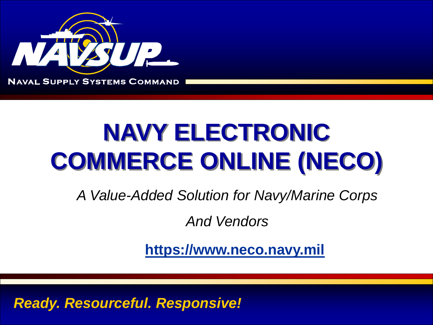

# **NAVY ELECTRONIC COMMERCE ONLINE (NECO)**

*A Value-Added Solution for Navy/Marine Corps* 

*And Vendors*

**https://www.neco.navy.mil**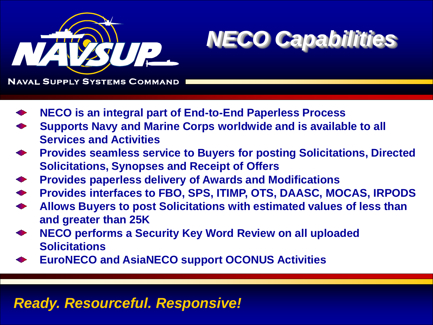

## *NECO Capabilities*

**NAVAL SUPPLY SYSTEMS COMMAND** 

- **NECO is an integral part of End-to-End Paperless Process**
- **Supports Navy and Marine Corps worldwide and is available to all Services and Activities**
- **Provides seamless service to Buyers for posting Solicitations, Directed Solicitations, Synopses and Receipt of Offers**
- **Provides paperless delivery of Awards and Modifications**
- **Provides interfaces to FBO, SPS, ITIMP, OTS, DAASC, MOCAS, IRPODS**
- **Allows Buyers to post Solicitations with estimated values of less than and greater than 25K**
- **NECO performs a Security Key Word Review on all uploaded Solicitations**
- **EuroNECO and AsiaNECO support OCONUS Activities**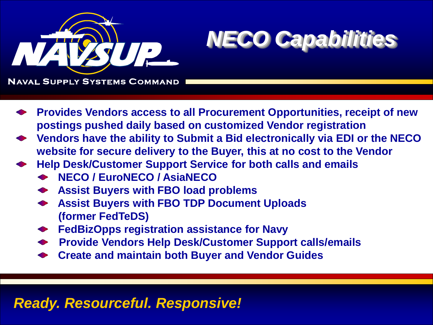

### *NECO Capabilities*

**NAVAL SUPPLY SYSTEMS COMMAND** 

- **Provides Vendors access to all Procurement Opportunities, receipt of new postings pushed daily based on customized Vendor registration**
- **Vendors have the ability to Submit a Bid electronically via EDI or the NECO website for secure delivery to the Buyer, this at no cost to the Vendor**
- **Help Desk/Customer Support Service for both calls and emails**
	- **NECO / EuroNECO / AsiaNECO**
	- **Assist Buyers with FBO load problems**
	- **Assist Buyers with FBO TDP Document Uploads (former FedTeDS)**
	- **FedBizOpps registration assistance for Navy**
	- **Provide Vendors Help Desk/Customer Support calls/emails**
	- **Create and maintain both Buyer and Vendor Guides**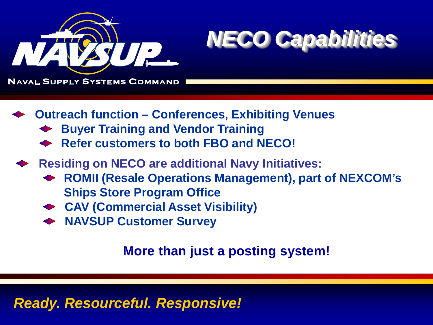

## *NECO Capabilities*

**NAVAL SUPPLY SYSTEMS COMMAND** 

- **Outreach function – Conferences, Exhibiting Venues**
	- **Buyer Training and Vendor Training**
	- **Refer customers to both FBO and NECO!**
- **Residing on NECO are additional Navy Initiatives:**
	- **ROMII (Resale Operations Management), part of NEXCOM's Ships Store Program Office**
	- **CAV (Commercial Asset Visibility)**
	- **NAVSUP Customer Survey**

**More than just a posting system!**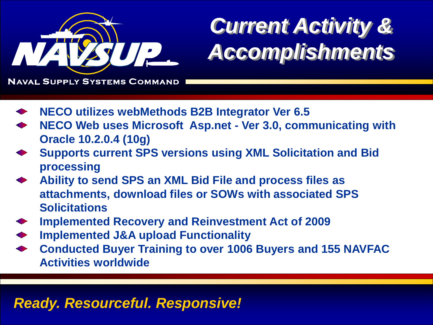

## *Current Activity & Accomplishments*

**NAVAL SUPPLY SYSTEMS COMMAND** 

- **NECO utilizes webMethods B2B Integrator Ver 6.5**
- **NECO Web uses Microsoft Asp.net - Ver 3.0, communicating with Oracle 10.2.0.4 (10g)**
- **Supports current SPS versions using XML Solicitation and Bid processing**
- **Ability to send SPS an XML Bid File and process files as attachments, download files or SOWs with associated SPS Solicitations**
- **Implemented Recovery and Reinvestment Act of 2009**
- **Implemented J&A upload Functionality**
- **Conducted Buyer Training to over 1006 Buyers and 155 NAVFAC Activities worldwide**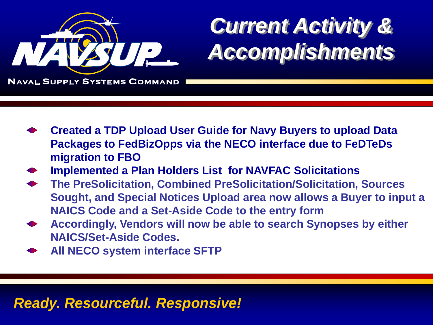

### *Current Activity & Accomplishments*

**NAVAL SUPPLY SYSTEMS COMMAND** 

- **Created a TDP Upload User Guide for Navy Buyers to upload Data Packages to FedBizOpps via the NECO interface due to FeDTeDs migration to FBO**
- **Implemented a Plan Holders List for NAVFAC Solicitations**
- **The PreSolicitation, Combined PreSolicitation/Solicitation, Sources Sought, and Special Notices Upload area now allows a Buyer to input a NAICS Code and a Set-Aside Code to the entry form**
- **Accordingly, Vendors will now be able to search Synopses by either NAICS/Set-Aside Codes.**
- **All NECO system interface SFTP**